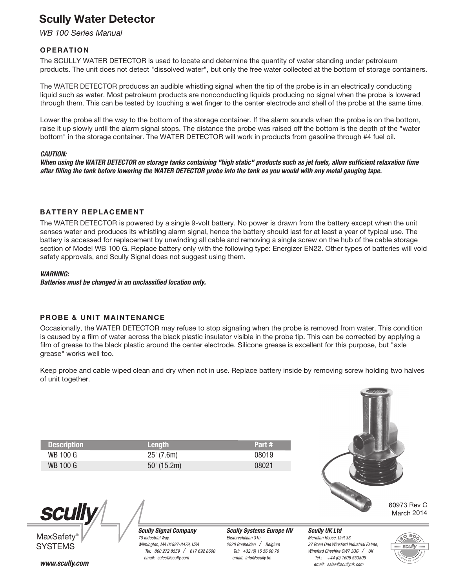# Scully Water Detector

*WB 100 Series Manual*

### **OPERATION**

The SCULLY WATER DETECTOR is used to locate and determine the quantity of water standing under petroleum products. The unit does not detect "dissolved water", but only the free water collected at the bottom of storage containers.

The WATER DETECTOR produces an audible whistling signal when the tip of the probe is in an electrically conducting liquid such as water. Most petroleum products are nonconducting liquids producing no signal when the probe is lowered through them. This can be tested by touching a wet finger to the center electrode and shell of the probe at the same time.

Lower the probe all the way to the bottom of the storage container. If the alarm sounds when the probe is on the bottom, raise it up slowly until the alarm signal stops. The distance the probe was raised off the bottom is the depth of the "water bottom" in the storage container. The WATER DETECTOR will work in products from gasoline through #4 fuel oil.

#### *CAUTION:*

When using the WATER DETECTOR on storage tanks containing "high static" products such as jet fuels, allow sufficient relaxation time *after lling the tank before lowering the WATER DETECTOR probe into the tank as you would with any metal gauging tape.* 

### BATTERY REPLACEMENT

The WATER DETECTOR is powered by a single 9-volt battery. No power is drawn from the battery except when the unit senses water and produces its whistling alarm signal, hence the battery should last for at least a year of typical use. The battery is accessed for replacement by unwinding all cable and removing a single screw on the hub of the cable storage section of Model WB 100 G. Replace battery only with the following type: Energizer EN22. Other types of batteries will void safety approvals, and Scully Signal does not suggest using them.

#### *WARNING:*

*Batteries must be changed in an unclassied location only.*

### PROBE & UNIT MAINTENANCE

Occasionally, the WATER DETECTOR may refuse to stop signaling when the probe is removed from water. This condition is caused by a film of water across the black plastic insulator visible in the probe tip. This can be corrected by applying a film of grease to the black plastic around the center electrode. Silicone grease is excellent for this purpose, but "axle grease" works well too.

Keep probe and cable wiped clean and dry when not in use. Replace battery inside by removing screw holding two halves of unit together.

| <b>Description</b> | <b>Lenath</b> | Part# |
|--------------------|---------------|-------|
| WB 100 G           | $25'$ (7.6m)  | 08019 |
| WB 100 G           | $50'$ (15.2m) | 08021 |

*Scully Signal Company*

*Wilmington, MA 01887-3479, USA*

*70 Industrial Way,*



60973 Rev C March 2014



**SCUI** 

*www.scully.com email: sales@scully.com*

 *Tel: 800 272 8559 / 617 692 8600 Scully Systems Europe NV Eksterveldlaan 31a 2820 Bonheiden / Belgium Tel: +32 (0) 15 56 00 70 email: info@scully.be*

*Scully UK Ltd Meridian House, Unit 33, 37 Road One Winsford Industrial Estate, Winsford Cheshire CW7 3QG / UK Tel.: +44 (0) 1606 553805 email: sales@scullyuk.com*